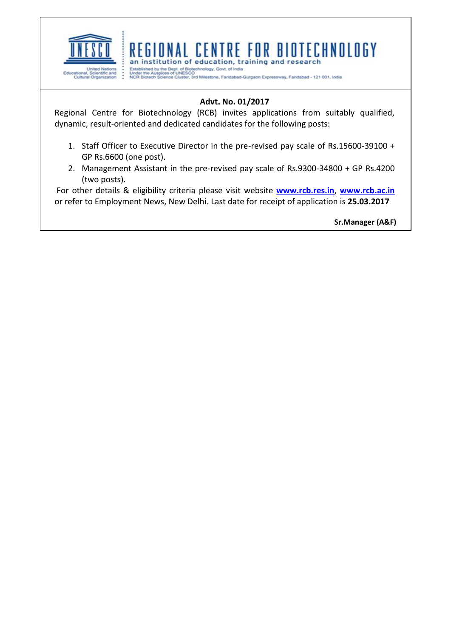

## REGIONAL CENTRE FOR BIOTECHNOLOGY an institution of education, training and research

United Nations - Established by the Dept. of Biotechnology, Govt. of India<br>Educational, Scientific and - Under the Auspices of UNESCO<br>Cultural Organization - NCR Biotech Science Cluster, 3rd Milestone, Faridabad-Gurgaon Ex

# **Advt. No. 01/2017**

Regional Centre for Biotechnology (RCB) invites applications from suitably qualified, dynamic, result-oriented and dedicated candidates for the following posts:

- 1. Staff Officer to Executive Director in the pre-revised pay scale of Rs.15600-39100 + GP Rs.6600 (one post).
- 2. Management Assistant in the pre-revised pay scale of Rs.9300-34800 + GP Rs.4200 (two posts).

For other details & eligibility criteria please visit website **[www.rcb.res.in](http://www.rcb.res.in/)**, **[www.rcb.ac.in](http://www.rcb.ac.in/)** or refer to Employment News, New Delhi. Last date for receipt of application is **25.03.2017**

**Sr.Manager (A&F)**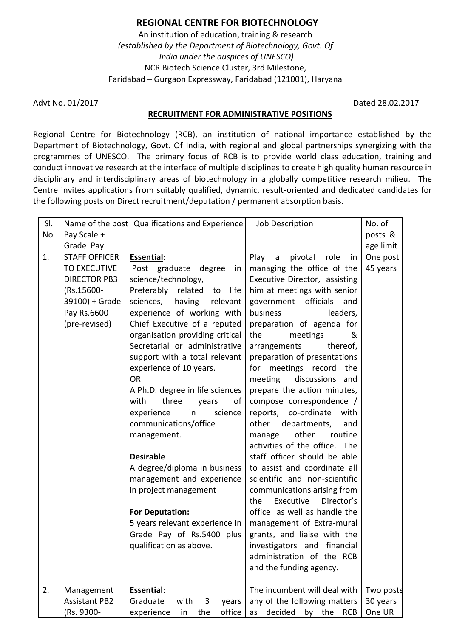## **REGIONAL CENTRE FOR BIOTECHNOLOGY**

An institution of education, training & research *(established by the Department of Biotechnology, Govt. Of India under the auspices of UNESCO)* NCR Biotech Science Cluster, 3rd Milestone, Faridabad – Gurgaon Expressway, Faridabad (121001), Haryana

Advt No. 01/2017 **Dated 28.02.2017** 

#### **RECRUITMENT FOR ADMINISTRATIVE POSITIONS**

Regional Centre for Biotechnology (RCB), an institution of national importance established by the Department of Biotechnology, Govt. Of India, with regional and global partnerships synergizing with the programmes of UNESCO. The primary focus of RCB is to provide world class education, training and conduct innovative research at the interface of multiple disciplines to create high quality human resource in disciplinary and interdisciplinary areas of biotechnology in a globally competitive research milieu. The Centre invites applications from suitably qualified, dynamic, result-oriented and dedicated candidates for the following posts on Direct recruitment/deputation / permanent absorption basis.

| SI. |                                                                                                                                                 | Name of the post Qualifications and Experience                                                                                                                                                                                                                                                                                                                                                                                                                                                                                                                                                                                                                                                                     | Job Description                                                                                                                                                                                                                                                                                                                                                                                                                                                                                                                                                                                                                                                                                                                                                                                                                                                           | No. of                            |
|-----|-------------------------------------------------------------------------------------------------------------------------------------------------|--------------------------------------------------------------------------------------------------------------------------------------------------------------------------------------------------------------------------------------------------------------------------------------------------------------------------------------------------------------------------------------------------------------------------------------------------------------------------------------------------------------------------------------------------------------------------------------------------------------------------------------------------------------------------------------------------------------------|---------------------------------------------------------------------------------------------------------------------------------------------------------------------------------------------------------------------------------------------------------------------------------------------------------------------------------------------------------------------------------------------------------------------------------------------------------------------------------------------------------------------------------------------------------------------------------------------------------------------------------------------------------------------------------------------------------------------------------------------------------------------------------------------------------------------------------------------------------------------------|-----------------------------------|
| No  | Pay Scale +                                                                                                                                     |                                                                                                                                                                                                                                                                                                                                                                                                                                                                                                                                                                                                                                                                                                                    |                                                                                                                                                                                                                                                                                                                                                                                                                                                                                                                                                                                                                                                                                                                                                                                                                                                                           | posts &                           |
|     |                                                                                                                                                 |                                                                                                                                                                                                                                                                                                                                                                                                                                                                                                                                                                                                                                                                                                                    |                                                                                                                                                                                                                                                                                                                                                                                                                                                                                                                                                                                                                                                                                                                                                                                                                                                                           |                                   |
| 1.  | Grade Pay<br><b>STAFF OFFICER</b><br><b>TO EXECUTIVE</b><br><b>DIRECTOR PB3</b><br>(Rs.15600-<br>39100) + Grade<br>Pay Rs.6600<br>(pre-revised) | <b>Essential:</b><br>Post graduate degree<br>in<br>science/technology,<br>Preferably related<br>life<br>to<br>sciences,<br>having<br>relevant<br>experience of working with<br>Chief Executive of a reputed<br>organisation providing critical<br>Secretarial or administrative<br>support with a total relevant<br>experience of 10 years.<br>OR<br>A Ph.D. degree in life sciences<br>with<br>three<br>years<br>of<br>in<br>science<br>experience<br>communications/office<br>management.<br><b>Desirable</b><br>A degree/diploma in business<br>management and experience<br>in project management<br>For Deputation:<br>5 years relevant experience in<br>Grade Pay of Rs.5400 plus<br>qualification as above. | Play<br>pivotal<br>role<br>$\mathsf{a}$<br>in<br>managing the office of the<br>Executive Director, assisting<br>him at meetings with senior<br>officials<br>government<br>and<br>leaders,<br>business<br>preparation of agenda for<br>the<br>meetings<br>&<br>arrangements<br>thereof,<br>preparation of presentations<br>for meetings record<br>the<br>meeting<br>discussions and<br>prepare the action minutes,<br>compose correspondence /<br>reports, co-ordinate<br>with<br>departments,<br>other<br>and<br>other<br>routine<br>manage<br>activities of the office. The<br>staff officer should be able<br>to assist and coordinate all<br>scientific and non-scientific<br>communications arising from<br>Executive<br>Director's<br>the<br>office as well as handle the<br>management of Extra-mural<br>grants, and liaise with the<br>investigators and financial | age limit<br>One post<br>45 years |
|     |                                                                                                                                                 |                                                                                                                                                                                                                                                                                                                                                                                                                                                                                                                                                                                                                                                                                                                    | administration of the RCB<br>and the funding agency.                                                                                                                                                                                                                                                                                                                                                                                                                                                                                                                                                                                                                                                                                                                                                                                                                      |                                   |
| 2.  | Management                                                                                                                                      | <b>Essential:</b>                                                                                                                                                                                                                                                                                                                                                                                                                                                                                                                                                                                                                                                                                                  | The incumbent will deal with                                                                                                                                                                                                                                                                                                                                                                                                                                                                                                                                                                                                                                                                                                                                                                                                                                              | Two posts                         |
|     | <b>Assistant PB2</b>                                                                                                                            | Graduate<br>with<br>3<br>years                                                                                                                                                                                                                                                                                                                                                                                                                                                                                                                                                                                                                                                                                     | any of the following matters                                                                                                                                                                                                                                                                                                                                                                                                                                                                                                                                                                                                                                                                                                                                                                                                                                              | 30 years                          |
|     | (Rs. 9300-                                                                                                                                      | the<br>office<br>in                                                                                                                                                                                                                                                                                                                                                                                                                                                                                                                                                                                                                                                                                                | decided<br>the<br>by<br><b>RCB</b><br>as                                                                                                                                                                                                                                                                                                                                                                                                                                                                                                                                                                                                                                                                                                                                                                                                                                  | One UR                            |
|     |                                                                                                                                                 | experience                                                                                                                                                                                                                                                                                                                                                                                                                                                                                                                                                                                                                                                                                                         |                                                                                                                                                                                                                                                                                                                                                                                                                                                                                                                                                                                                                                                                                                                                                                                                                                                                           |                                   |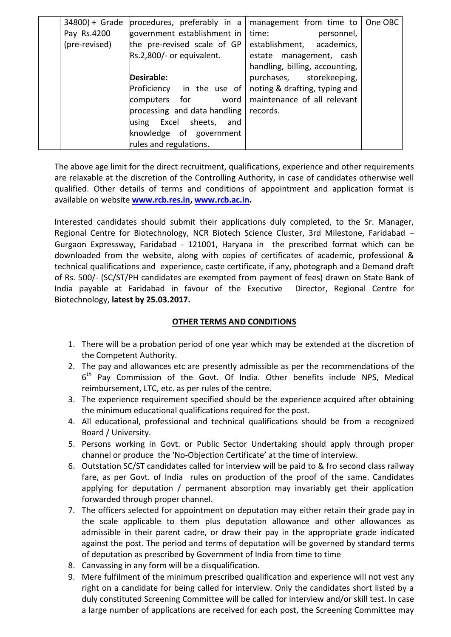| $34800 +$ Grade | procedures, preferably in a  | management from time to        | One OBC |
|-----------------|------------------------------|--------------------------------|---------|
| Pay Rs.4200     | government establishment in  | time:<br>personnel,            |         |
| (pre-revised)   | the pre-revised scale of GP  | establishment,<br>academics,   |         |
|                 | Rs.2,800/- or equivalent.    | estate management, cash        |         |
|                 |                              | handling, billing, accounting, |         |
|                 | <b>Desirable:</b>            | purchases, storekeeping,       |         |
|                 | in the use of<br>Proficiency | noting & drafting, typing and  |         |
|                 | word<br>computers<br>for     | maintenance of all relevant    |         |
|                 | processing and data handling | records.                       |         |
|                 | using Excel sheets,<br>and   |                                |         |
|                 | knowledge of government      |                                |         |
|                 | rules and regulations.       |                                |         |

The above age limit for the direct recruitment, qualifications, experience and other requirements are relaxable at the discretion of the Controlling Authority, in case of candidates otherwise well qualified. Other details of terms and conditions of appointment and application format is available on website **[www.rcb.res.in,](http://www.rcb.res.in/) [www.rcb.ac.in.](http://www.rcb.ac.in/)** 

Interested candidates should submit their applications duly completed, to the Sr. Manager, Regional Centre for Biotechnology, NCR Biotech Science Cluster, 3rd Milestone, Faridabad – Gurgaon Expressway, Faridabad - 121001, Haryana in the prescribed format which can be downloaded from the website, along with copies of certificates of academic, professional & technical qualifications and experience, caste certificate, if any, photograph and a Demand draft of Rs. 500/- (SC/ST/PH candidates are exempted from payment of fees) drawn on State Bank of India payable at Faridabad in favour of the Executive Director, Regional Centre for Biotechnology, **latest by 25.03.2017.**

### **OTHER TERMS AND CONDITIONS**

- 1. There will be a probation period of one year which may be extended at the discretion of the Competent Authority.
- 2. The pay and allowances etc are presently admissible as per the recommendations of the 6<sup>th</sup> Pay Commission of the Govt. Of India. Other benefits include NPS, Medical reimbursement, LTC, etc. as per rules of the centre.
- 3. The experience requirement specified should be the experience acquired after obtaining the minimum educational qualifications required for the post.
- 4. All educational, professional and technical qualifications should be from a recognized Board / University.
- 5. Persons working in Govt. or Public Sector Undertaking should apply through proper channel or produce the 'No-Objection Certificate' at the time of interview.
- 6. Outstation SC/ST candidates called for interview will be paid to & fro second class railway fare, as per Govt. of India rules on production of the proof of the same. Candidates applying for deputation / permanent absorption may invariably get their application forwarded through proper channel.
- 7. The officers selected for appointment on deputation may either retain their grade pay in the scale applicable to them plus deputation allowance and other allowances as admissible in their parent cadre, or draw their pay in the appropriate grade indicated against the post. The period and terms of deputation will be governed by standard terms of deputation as prescribed by Government of India from time to time
- 8. Canvassing in any form will be a disqualification.
- 9. Mere fulfilment of the minimum prescribed qualification and experience will not vest any right on a candidate for being called for interview. Only the candidates short listed by a duly constituted Screening Committee will be called for interview and/or skill test. In case a large number of applications are received for each post, the Screening Committee may